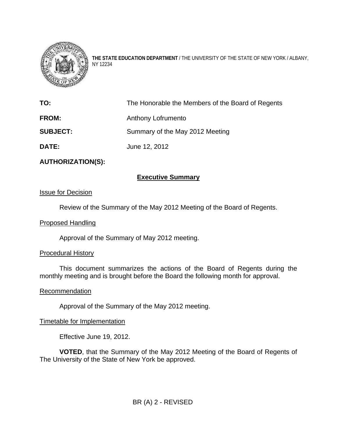

**THE STATE EDUCATION DEPARTMENT** / THE UNIVERSITY OF THE STATE OF NEW YORK / ALBANY, NY 12234

| TO:             | The Honorable the Members of the Board of Regents |
|-----------------|---------------------------------------------------|
| <b>FROM:</b>    | Anthony Lofrumento                                |
| <b>SUBJECT:</b> | Summary of the May 2012 Meeting                   |
| <b>DATE:</b>    | June 12, 2012                                     |

## **AUTHORIZATION(S):**

## **Executive Summary**

### Issue for Decision

Review of the Summary of the May 2012 Meeting of the Board of Regents.

#### Proposed Handling

Approval of the Summary of May 2012 meeting.

#### Procedural History

 This document summarizes the actions of the Board of Regents during the monthly meeting and is brought before the Board the following month for approval.

#### **Recommendation**

Approval of the Summary of the May 2012 meeting.

## Timetable for Implementation

Effective June 19, 2012.

**VOTED**, that the Summary of the May 2012 Meeting of the Board of Regents of The University of the State of New York be approved.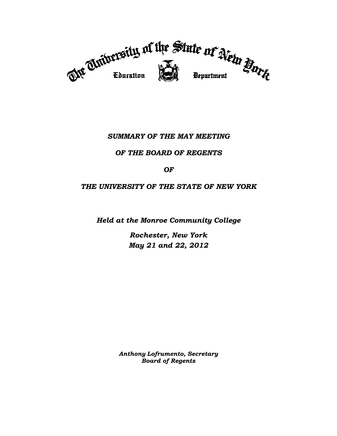

# *SUMMARY OF THE MAY MEETING*

## *OF THE BOARD OF REGENTS*

## *OF*

## *THE UNIVERSITY OF THE STATE OF NEW YORK*

*Held at the Monroe Community College* 

*Rochester, New York May 21 and 22, 2012* 

*Anthony Lofrumento, Secretary Board of Regents*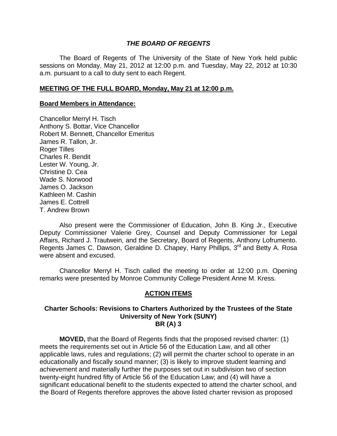### *THE BOARD OF REGENTS*

 The Board of Regents of The University of the State of New York held public sessions on Monday, May 21, 2012 at 12:00 p.m. and Tuesday, May 22, 2012 at 10:30 a.m. pursuant to a call to duty sent to each Regent.

#### **MEETING OF THE FULL BOARD, Monday, May 21 at 12:00 p.m.**

#### **Board Members in Attendance:**

Chancellor Merryl H. Tisch Anthony S. Bottar, Vice Chancellor Robert M. Bennett, Chancellor Emeritus James R. Tallon, Jr. Roger Tilles Charles R. Bendit Lester W. Young, Jr. Christine D. Cea Wade S. Norwood James O. Jackson Kathleen M. Cashin James E. Cottrell T. Andrew Brown

 Also present were the Commissioner of Education, John B. King Jr., Executive Deputy Commissioner Valerie Grey, Counsel and Deputy Commissioner for Legal Affairs, Richard J. Trautwein, and the Secretary, Board of Regents, Anthony Lofrumento. Regents James C. Dawson, Geraldine D. Chapey, Harry Phillips, 3<sup>rd</sup> and Betty A. Rosa were absent and excused.

 Chancellor Merryl H. Tisch called the meeting to order at 12:00 p.m. Opening remarks were presented by Monroe Community College President Anne M. Kress.

## **ACTION ITEMS**

#### **Charter Schools: Revisions to Charters Authorized by the Trustees of the State University of New York (SUNY) BR (A) 3**

 **MOVED,** that the Board of Regents finds that the proposed revised charter: (1) meets the requirements set out in Article 56 of the Education Law, and all other applicable laws, rules and regulations; (2) will permit the charter school to operate in an educationally and fiscally sound manner; (3) is likely to improve student learning and achievement and materially further the purposes set out in subdivision two of section twenty-eight hundred fifty of Article 56 of the Education Law; and (4) will have a significant educational benefit to the students expected to attend the charter school, and the Board of Regents therefore approves the above listed charter revision as proposed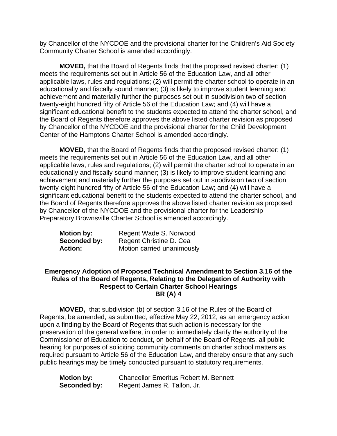by Chancellor of the NYCDOE and the provisional charter for the Children's Aid Society Community Charter School is amended accordingly.

**MOVED,** that the Board of Regents finds that the proposed revised charter: (1) meets the requirements set out in Article 56 of the Education Law, and all other applicable laws, rules and regulations; (2) will permit the charter school to operate in an educationally and fiscally sound manner; (3) is likely to improve student learning and achievement and materially further the purposes set out in subdivision two of section twenty-eight hundred fifty of Article 56 of the Education Law; and (4) will have a significant educational benefit to the students expected to attend the charter school, and the Board of Regents therefore approves the above listed charter revision as proposed by Chancellor of the NYCDOE and the provisional charter for the Child Development Center of the Hamptons Charter School is amended accordingly.

**MOVED,** that the Board of Regents finds that the proposed revised charter: (1) meets the requirements set out in Article 56 of the Education Law, and all other applicable laws, rules and regulations; (2) will permit the charter school to operate in an educationally and fiscally sound manner; (3) is likely to improve student learning and achievement and materially further the purposes set out in subdivision two of section twenty-eight hundred fifty of Article 56 of the Education Law; and (4) will have a significant educational benefit to the students expected to attend the charter school, and the Board of Regents therefore approves the above listed charter revision as proposed by Chancellor of the NYCDOE and the provisional charter for the Leadership Preparatory Brownsville Charter School is amended accordingly.

| <b>Motion by:</b> | Regent Wade S. Norwood     |
|-------------------|----------------------------|
| Seconded by:      | Regent Christine D. Cea    |
| <b>Action:</b>    | Motion carried unanimously |

## **Emergency Adoption of Proposed Technical Amendment to Section 3.16 of the Rules of the Board of Regents, Relating to the Delegation of Authority with Respect to Certain Charter School Hearings BR (A) 4**

**MOVED,** that subdivision (b) of section 3.16 of the Rules of the Board of Regents, be amended, as submitted, effective May 22, 2012, as an emergency action upon a finding by the Board of Regents that such action is necessary for the preservation of the general welfare, in order to immediately clarify the authority of the Commissioner of Education to conduct, on behalf of the Board of Regents, all public hearing for purposes of soliciting community comments on charter school matters as required pursuant to Article 56 of the Education Law, and thereby ensure that any such public hearings may be timely conducted pursuant to statutory requirements.

**Motion by:** Chancellor Emeritus Robert M. Bennett **Seconded by:** Regent James R. Tallon, Jr.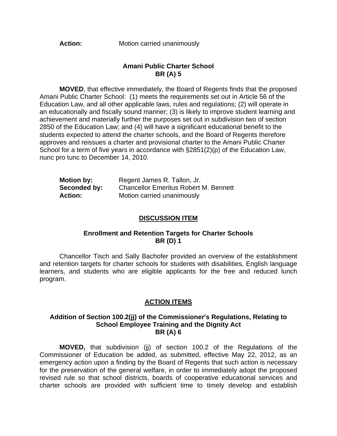Action: Motion carried unanimously

#### **Amani Public Charter School BR (A) 5**

**MOVED**, that effective immediately, the Board of Regents finds that the proposed Amani Public Charter School: (1) meets the requirements set out in Article 56 of the Education Law, and all other applicable laws, rules and regulations; (2) will operate in an educationally and fiscally sound manner; (3) is likely to improve student learning and achievement and materially further the purposes set out in subdivision two of section 2850 of the Education Law; and (4) will have a significant educational benefit to the students expected to attend the charter schools, and the Board of Regents therefore approves and reissues a charter and provisional charter to the Amani Public Charter School for a term of five years in accordance with §2851(2)(p) of the Education Law, nunc pro tunc to December 14, 2010.

| <b>Motion by:</b> | Regent James R. Tallon, Jr.                  |  |  |  |
|-------------------|----------------------------------------------|--|--|--|
| Seconded by:      | <b>Chancellor Emeritus Robert M. Bennett</b> |  |  |  |
| <b>Action:</b>    | Motion carried unanimously                   |  |  |  |

### **DISCUSSION ITEM**

#### **Enrollment and Retention Targets for Charter Schools BR (D) 1**

 Chancellor Tisch and Sally Bachofer provided an overview of the establishment and retention targets for charter schools for students with disabilities, English language learners, and students who are eligible applicants for the free and reduced lunch program.

## **ACTION ITEMS**

#### **Addition of Section 100.2(jj) of the Commissioner's Regulations, Relating to School Employee Training and the Dignity Act BR (A) 6**

**MOVED,** that subdivision (jj) of section 100.2 of the Regulations of the Commissioner of Education be added, as submitted, effective May 22, 2012, as an emergency action upon a finding by the Board of Regents that such action is necessary for the preservation of the general welfare, in order to immediately adopt the proposed revised rule so that school districts, boards of cooperative educational services and charter schools are provided with sufficient time to timely develop and establish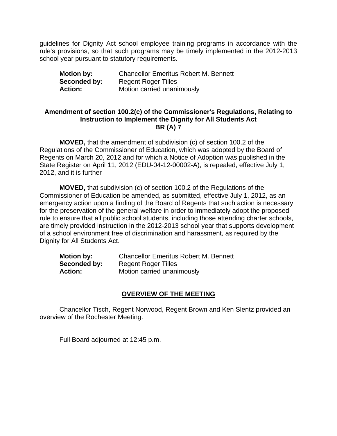guidelines for Dignity Act school employee training programs in accordance with the rule's provisions, so that such programs may be timely implemented in the 2012-2013 school year pursuant to statutory requirements.

| <b>Motion by:</b> | <b>Chancellor Emeritus Robert M. Bennett</b> |
|-------------------|----------------------------------------------|
| Seconded by:      | <b>Regent Roger Tilles</b>                   |
| <b>Action:</b>    | Motion carried unanimously                   |

## **Amendment of section 100.2(c) of the Commissioner's Regulations, Relating to Instruction to Implement the Dignity for All Students Act BR (A) 7**

**MOVED,** that the amendment of subdivision (c) of section 100.2 of the Regulations of the Commissioner of Education, which was adopted by the Board of Regents on March 20, 2012 and for which a Notice of Adoption was published in the State Register on April 11, 2012 (EDU-04-12-00002-A), is repealed, effective July 1, 2012, and it is further

**MOVED,** that subdivision (c) of section 100.2 of the Regulations of the Commissioner of Education be amended, as submitted, effective July 1, 2012, as an emergency action upon a finding of the Board of Regents that such action is necessary for the preservation of the general welfare in order to immediately adopt the proposed rule to ensure that all public school students, including those attending charter schools, are timely provided instruction in the 2012-2013 school year that supports development of a school environment free of discrimination and harassment, as required by the Dignity for All Students Act.

| <b>Motion by:</b> | <b>Chancellor Emeritus Robert M. Bennett</b> |
|-------------------|----------------------------------------------|
| Seconded by:      | <b>Regent Roger Tilles</b>                   |
| <b>Action:</b>    | Motion carried unanimously                   |

## **OVERVIEW OF THE MEETING**

 Chancellor Tisch, Regent Norwood, Regent Brown and Ken Slentz provided an overview of the Rochester Meeting.

Full Board adjourned at 12:45 p.m.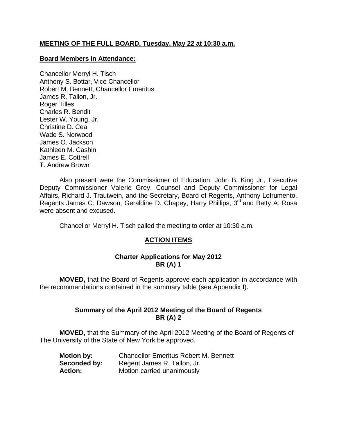## **MEETING OF THE FULL BOARD, Tuesday, May 22 at 10:30 a.m.**

### **Board Members in Attendance:**

Chancellor Merryl H. Tisch Anthony S. Bottar, Vice Chancellor Robert M. Bennett, Chancellor Emeritus James R. Tallon, Jr. Roger Tilles Charles R. Bendit Lester W. Young, Jr. Christine D. Cea Wade S. Norwood James O. Jackson Kathleen M. Cashin James E. Cottrell T. Andrew Brown

 Also present were the Commissioner of Education, John B. King Jr., Executive Deputy Commissioner Valerie Grey, Counsel and Deputy Commissioner for Legal Affairs, Richard J. Trautwein, and the Secretary, Board of Regents, Anthony Lofrumento. Regents James C. Dawson, Geraldine D. Chapey, Harry Phillips, 3<sup>rd</sup> and Betty A. Rosa were absent and excused.

Chancellor Merryl H. Tisch called the meeting to order at 10:30 a.m.

## **ACTION ITEMS**

### **Charter Applications for May 2012 BR (A) 1**

 **MOVED,** that the Board of Regents approve each application in accordance with the recommendations contained in the summary table (see Appendix I).

## **Summary of the April 2012 Meeting of the Board of Regents BR (A) 2**

 **MOVED,** that the Summary of the April 2012 Meeting of the Board of Regents of The University of the State of New York be approved.

| <b>Motion by:</b> | <b>Chancellor Emeritus Robert M. Bennett</b> |
|-------------------|----------------------------------------------|
| Seconded by:      | Regent James R. Tallon, Jr.                  |
| <b>Action:</b>    | Motion carried unanimously                   |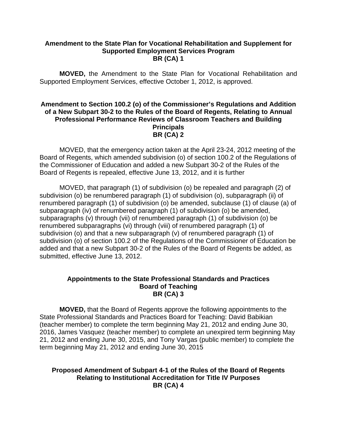### **Amendment to the State Plan for Vocational Rehabilitation and Supplement for Supported Employment Services Program BR (CA) 1**

 **MOVED,** the Amendment to the State Plan for Vocational Rehabilitation and Supported Employment Services, effective October 1, 2012, is approved.

### **Amendment to Section 100.2 (o) of the Commissioner's Regulations and Addition of a New Subpart 30-2 to the Rules of the Board of Regents, Relating to Annual Professional Performance Reviews of Classroom Teachers and Building Principals BR (CA) 2**

MOVED, that the emergency action taken at the April 23-24, 2012 meeting of the Board of Regents, which amended subdivision (o) of section 100.2 of the Regulations of the Commissioner of Education and added a new Subpart 30-2 of the Rules of the Board of Regents is repealed, effective June 13, 2012, and it is further

 MOVED, that paragraph (1) of subdivision (o) be repealed and paragraph (2) of subdivision (o) be renumbered paragraph (1) of subdivision (o), subparagraph (ii) of renumbered paragraph (1) of subdivision (o) be amended, subclause (1) of clause (a) of subparagraph (iv) of renumbered paragraph (1) of subdivision (o) be amended, subparagraphs (v) through (vii) of renumbered paragraph (1) of subdivision (o) be renumbered subparagraphs (vi) through (viii) of renumbered paragraph (1) of subdivision (o) and that a new subparagraph (v) of renumbered paragraph (1) of subdivision (o) of section 100.2 of the Regulations of the Commissioner of Education be added and that a new Subpart 30-2 of the Rules of the Board of Regents be added, as submitted, effective June 13, 2012.

#### **Appointments to the State Professional Standards and Practices Board of Teaching BR (CA) 3**

 **MOVED,** that the Board of Regents approve the following appointments to the State Professional Standards and Practices Board for Teaching: David Babikian (teacher member) to complete the term beginning May 21, 2012 and ending June 30, 2016, James Vasquez (teacher member) to complete an unexpired term beginning May 21, 2012 and ending June 30, 2015, and Tony Vargas (public member) to complete the term beginning May 21, 2012 and ending June 30, 2015

## **Proposed Amendment of Subpart 4-1 of the Rules of the Board of Regents Relating to Institutional Accreditation for Title IV Purposes BR (CA) 4**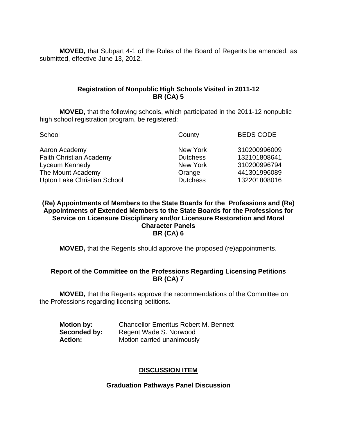**MOVED,** that Subpart 4-1 of the Rules of the Board of Regents be amended, as submitted, effective June 13, 2012.

## **Registration of Nonpublic High Schools Visited in 2011-12 BR (CA) 5**

 **MOVED,** that the following schools, which participated in the 2011-12 nonpublic high school registration program, be registered:

| County          | <b>BEDS CODE</b> |
|-----------------|------------------|
| New York        | 310200996009     |
| <b>Dutchess</b> | 132101808641     |
| New York        | 310200996794     |
| Orange          | 441301996089     |
| <b>Dutchess</b> | 132201808016     |
|                 |                  |

**(Re) Appointments of Members to the State Boards for the Professions and (Re) Appointments of Extended Members to the State Boards for the Professions for Service on Licensure Disciplinary and/or Licensure Restoration and Moral Character Panels BR (CA) 6** 

 **MOVED,** that the Regents should approve the proposed (re)appointments.

## **Report of the Committee on the Professions Regarding Licensing Petitions BR (CA) 7**

 **MOVED,** that the Regents approve the recommendations of the Committee on the Professions regarding licensing petitions.

| <b>Motion by:</b> | <b>Chancellor Emeritus Robert M. Bennett</b> |
|-------------------|----------------------------------------------|
| Seconded by:      | Regent Wade S. Norwood                       |
| <b>Action:</b>    | Motion carried unanimously                   |

## **DISCUSSION ITEM**

## **Graduation Pathways Panel Discussion**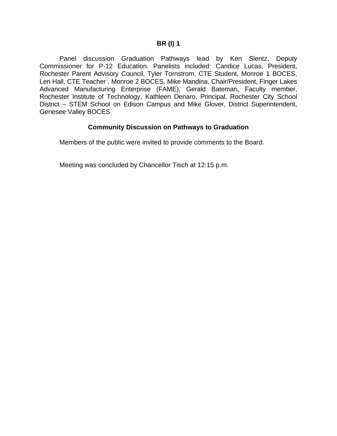Panel discussion Graduation Pathways lead by Ken Slentz, Deputy Commissioner for P-12 Education. Panelists included: Candice Lucas, President, Rochester Parent Advisory Council, Tyler Tornstrom, CTE Student, Monroe 1 BOCES, Len Hall, CTE Teacher , Monroe 2 BOCES, Mike Mandina, Chair/President, Finger Lakes Advanced Manufacturing Enterprise (FAME), Gerald Bateman, Faculty member, Rochester Institute of Technology, Kathleen Denaro, Principal, Rochester City School District – STEM School on Edison Campus and Mike Glover, District Superintendent, Genesee Valley BOCES

### **Community Discussion on Pathways to Graduation**

Members of the public were invited to provide comments to the Board.

Meeting was concluded by Chancellor Tisch at 12:15 p.m.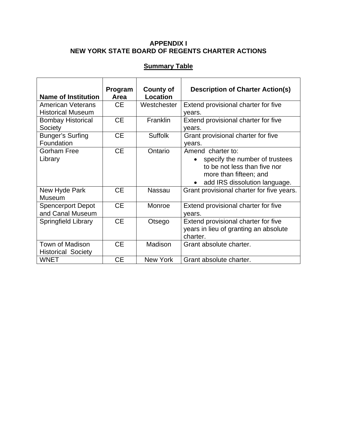## **APPENDIX I NEW YORK STATE BOARD OF REGENTS CHARTER ACTIONS**

# **Summary Table**

| <b>Name of Institution</b>                           | Program<br>Area | <b>County of</b><br>Location | <b>Description of Charter Action(s)</b>                                                                                                        |
|------------------------------------------------------|-----------------|------------------------------|------------------------------------------------------------------------------------------------------------------------------------------------|
| <b>American Veterans</b><br><b>Historical Museum</b> | <b>CE</b>       | Westchester                  | Extend provisional charter for five<br>years.                                                                                                  |
| <b>Bombay Historical</b><br>Society                  | <b>CE</b>       | Franklin                     | Extend provisional charter for five<br>years.                                                                                                  |
| Bunger's Surfing<br>Foundation                       | <b>CE</b>       | <b>Suffolk</b>               | Grant provisional charter for five<br>years.                                                                                                   |
| Gorham Free<br>Library                               | <b>CE</b>       | Ontario                      | Amend charter to:<br>specify the number of trustees<br>to be not less than five nor<br>more than fifteen; and<br>add IRS dissolution language. |
| New Hyde Park<br><b>Museum</b>                       | <b>CE</b>       | <b>Nassau</b>                | Grant provisional charter for five years.                                                                                                      |
| <b>Spencerport Depot</b><br>and Canal Museum         | <b>CE</b>       | Monroe                       | Extend provisional charter for five<br>vears.                                                                                                  |
| Springfield Library                                  | <b>CE</b>       | Otsego                       | Extend provisional charter for five<br>years in lieu of granting an absolute<br>charter.                                                       |
| Town of Madison<br><b>Historical Society</b>         | <b>CE</b>       | Madison                      | Grant absolute charter.                                                                                                                        |
| <b>WNET</b>                                          | <b>CE</b>       | <b>New York</b>              | Grant absolute charter.                                                                                                                        |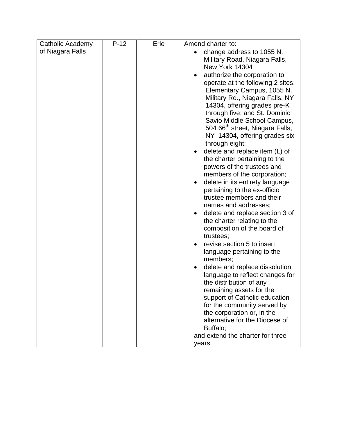| Catholic Academy | $P-12$ | Erie | Amend charter to:                                                                                                                                                                                                                                                                                                                                                                                                                                                                              |
|------------------|--------|------|------------------------------------------------------------------------------------------------------------------------------------------------------------------------------------------------------------------------------------------------------------------------------------------------------------------------------------------------------------------------------------------------------------------------------------------------------------------------------------------------|
| of Niagara Falls |        |      | change address to 1055 N.<br>Military Road, Niagara Falls,<br><b>New York 14304</b><br>authorize the corporation to<br>operate at the following 2 sites:<br>Elementary Campus, 1055 N.<br>Military Rd., Niagara Falls, NY<br>14304, offering grades pre-K<br>through five; and St. Dominic<br>Savio Middle School Campus,<br>504 66 <sup>th</sup> street, Niagara Falls,<br>NY 14304, offering grades six<br>through eight;<br>delete and replace item (L) of<br>the charter pertaining to the |
|                  |        |      | powers of the trustees and<br>members of the corporation;<br>delete in its entirety language<br>pertaining to the ex-officio<br>trustee members and their                                                                                                                                                                                                                                                                                                                                      |
|                  |        |      | names and addresses;<br>delete and replace section 3 of<br>the charter relating to the<br>composition of the board of<br>trustees;                                                                                                                                                                                                                                                                                                                                                             |
|                  |        |      | revise section 5 to insert<br>language pertaining to the<br>members;                                                                                                                                                                                                                                                                                                                                                                                                                           |
|                  |        |      | delete and replace dissolution<br>language to reflect changes for<br>the distribution of any<br>remaining assets for the<br>support of Catholic education                                                                                                                                                                                                                                                                                                                                      |
|                  |        |      | for the community served by<br>the corporation or, in the<br>alternative for the Diocese of<br>Buffalo;                                                                                                                                                                                                                                                                                                                                                                                        |
|                  |        |      | and extend the charter for three<br>years.                                                                                                                                                                                                                                                                                                                                                                                                                                                     |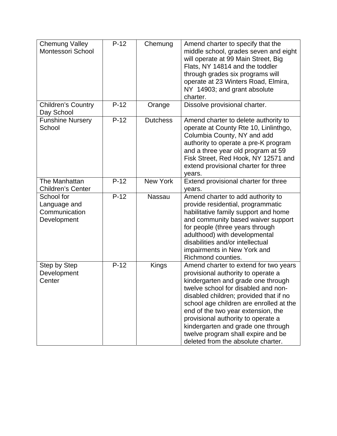| <b>Chemung Valley</b><br>Montessori School                 | $P-12$ | Chemung         | Amend charter to specify that the<br>middle school, grades seven and eight<br>will operate at 99 Main Street, Big<br>Flats, NY 14814 and the toddler<br>through grades six programs will<br>operate at 23 Winters Road, Elmira,<br>NY 14903; and grant absolute<br>charter.                                                                                                                                                                 |
|------------------------------------------------------------|--------|-----------------|---------------------------------------------------------------------------------------------------------------------------------------------------------------------------------------------------------------------------------------------------------------------------------------------------------------------------------------------------------------------------------------------------------------------------------------------|
| <b>Children's Country</b><br>Day School                    | $P-12$ | Orange          | Dissolve provisional charter.                                                                                                                                                                                                                                                                                                                                                                                                               |
| <b>Funshine Nursery</b><br>School                          | $P-12$ | <b>Dutchess</b> | Amend charter to delete authority to<br>operate at County Rte 10, Linlinthgo,<br>Columbia County, NY and add<br>authority to operate a pre-K program<br>and a three year old program at 59<br>Fisk Street, Red Hook, NY 12571 and<br>extend provisional charter for three<br>years.                                                                                                                                                         |
| The Manhattan<br><b>Children's Center</b>                  | $P-12$ | <b>New York</b> | Extend provisional charter for three<br>years.                                                                                                                                                                                                                                                                                                                                                                                              |
| School for<br>Language and<br>Communication<br>Development | $P-12$ | <b>Nassau</b>   | Amend charter to add authority to<br>provide residential, programmatic<br>habilitative family support and home<br>and community based waiver support<br>for people (three years through<br>adulthood) with developmental<br>disabilities and/or intellectual<br>impairments in New York and<br>Richmond counties.                                                                                                                           |
| Step by Step<br>Development<br>Center                      | $P-12$ | Kings           | Amend charter to extend for two years<br>provisional authority to operate a<br>kindergarten and grade one through<br>twelve school for disabled and non-<br>disabled children; provided that if no<br>school age children are enrolled at the<br>end of the two year extension, the<br>provisional authority to operate a<br>kindergarten and grade one through<br>twelve program shall expire and be<br>deleted from the absolute charter. |